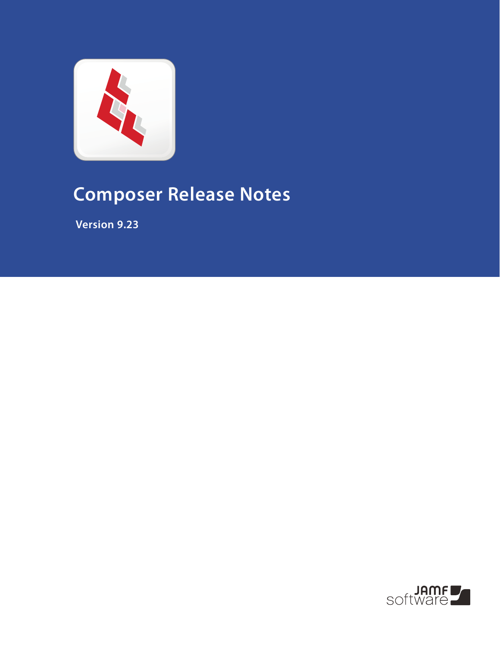

# **Composer Release Notes**

 **Version 9.23**

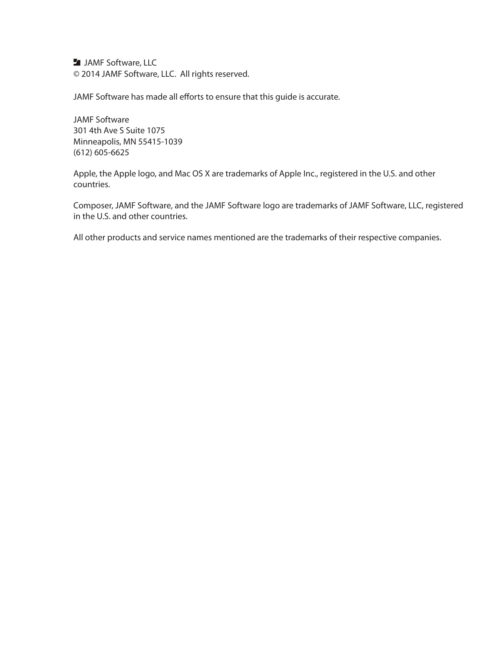**JAMF Software, LLC** © 2014 JAMF Software, LLC. All rights reserved.

JAMF Software has made all efforts to ensure that this guide is accurate.

JAMF Software 301 4th Ave S Suite 1075 Minneapolis, MN 55415-1039 (612) 605-6625

Apple, the Apple logo, and Mac OS X are trademarks of Apple Inc., registered in the U.S. and other countries.

Composer, JAMF Software, and the JAMF Software logo are trademarks of JAMF Software, LLC, registered in the U.S. and other countries.

All other products and service names mentioned are the trademarks of their respective companies.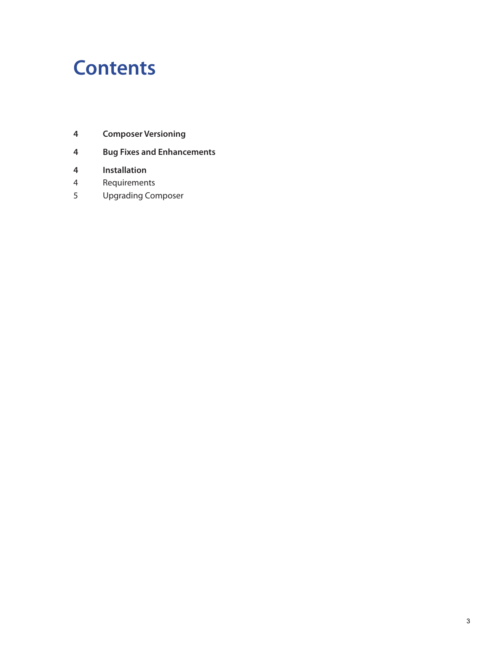## **Contents**

- **Composer Versioning**
- **Bug Fixes and Enhancements**
- **Installation**
- Requirements
- Upgrading Composer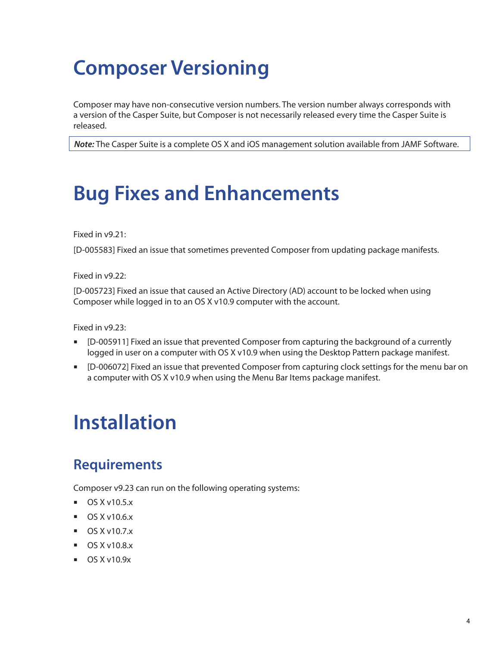# **Composer Versioning**

Composer may have non-consecutive version numbers. The version number always corresponds with a version of the Casper Suite, but Composer is not necessarily released every time the Casper Suite is released.

*Note:* The Casper Suite is a complete OS X and iOS management solution available from JAMF Software.

## **Bug Fixes and Enhancements**

Fixed in v9.21:

[D-005583] Fixed an issue that sometimes prevented Composer from updating package manifests.

Fixed in v9.22:

[D-005723] Fixed an issue that caused an Active Directory (AD) account to be locked when using Composer while logged in to an OS X v10.9 computer with the account.

Fixed in v9.23:

- [D-005911] Fixed an issue that prevented Composer from capturing the background of a currently logged in user on a computer with OS X v10.9 when using the Desktop Pattern package manifest.
- [D-006072] Fixed an issue that prevented Composer from capturing clock settings for the menu bar on a computer with OS X v10.9 when using the Menu Bar Items package manifest.

# **Installation**

#### **Requirements**

Composer v9.23 can run on the following operating systems:

- $\blacksquare$  OS X v10.5.x
- $\blacksquare$  OS X v10.6.x
- $\Box$  OS X v10.7. $x$
- $OS X v10.8.x$
- $\blacksquare$  OS X v10.9x